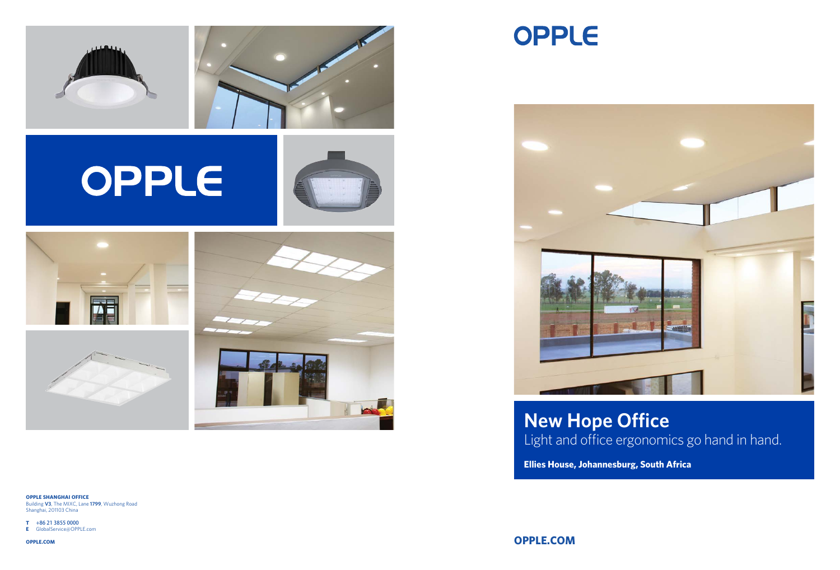

# OPPLE













## Light and office ergonomics go hand in hand. **New Hope Office**

**Ellies House, Johannesburg, South Africa**

**OPPLE.COM**

**OPPLE SHANGHAI OFFICE** Building **V3**, The MIXC, Lane **1799**, Wuzhong Road

Shanghai, 201103 China

- **T** +86 21 3855 0000
- **E** GlobalService@OPPLE.com

**OPPLE.COM**